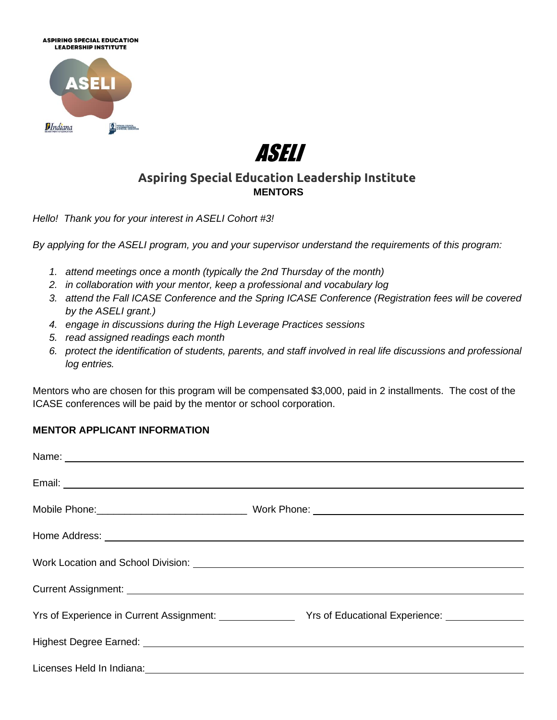



## **Aspiring Special Education Leadership Institute MENTORS**

*Hello! Thank you for your interest in ASELI Cohort #3!* 

*By applying for the ASELI program, you and your supervisor understand the requirements of this program:*

- *1. attend meetings once a month (typically the 2nd Thursday of the month)*
- *2. in collaboration with your mentor, keep a professional and vocabulary log*
- *3. attend the Fall ICASE Conference and the Spring ICASE Conference (Registration fees will be covered by the ASELI grant.)*
- *4. engage in discussions during the High Leverage Practices sessions*
- *5. read assigned readings each month*
- *6. protect the identification of students, parents, and staff involved in real life discussions and professional log entries.*

Mentors who are chosen for this program will be compensated \$3,000, paid in 2 installments. The cost of the ICASE conferences will be paid by the mentor or school corporation.

## **MENTOR APPLICANT INFORMATION**

| Home Address: North American Communication of the Communication of the Communication of the Communication of the Communication of the Communication of the Communication of the Communication of the Communication of the Comm       |                                                                                                                 |
|--------------------------------------------------------------------------------------------------------------------------------------------------------------------------------------------------------------------------------------|-----------------------------------------------------------------------------------------------------------------|
|                                                                                                                                                                                                                                      |                                                                                                                 |
|                                                                                                                                                                                                                                      |                                                                                                                 |
|                                                                                                                                                                                                                                      | Yrs of Experience in Current Assignment: Vrs of Educational Experience: Vistam Controller Management Controller |
| Highest Degree Earned: <b>contract and the Contract of Contract and Contract and Contract and Contract and Contract and Contract and Contract and Contract and Contract and Contract and Contract and Contract and Contract and </b> |                                                                                                                 |
| Licenses Held In Indiana: Manual Annual Annual Annual Annual Annual Annual Annual Annual Annual Annual Annual                                                                                                                        |                                                                                                                 |